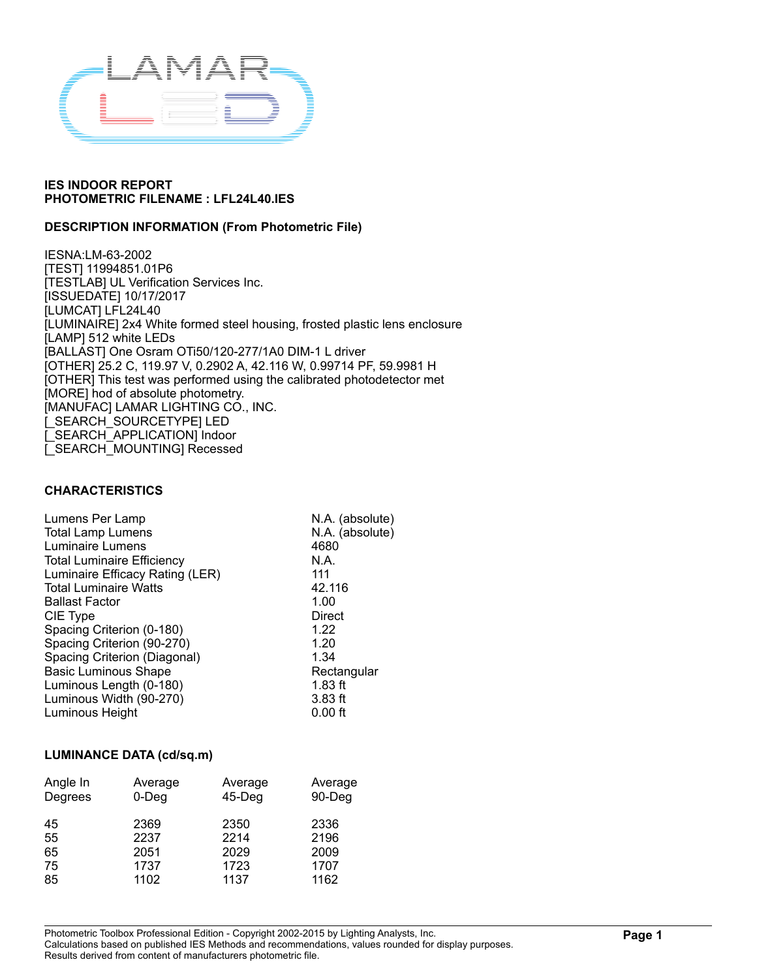

### **DESCRIPTION INFORMATION (From Photometric File)**

IESNA:LM-63-2002 [TEST] 11994851.01P6 [TESTLAB] UL Verification Services Inc. [ISSUEDATE] 10/17/2017 [LUMCAT] LFL24L40 [LUMINAIRE] 2x4 White formed steel housing, frosted plastic lens enclosure [LAMP] 512 white LEDs [BALLAST] One Osram OTi50/120-277/1A0 DIM-1 L driver [OTHER] 25.2 C, 119.97 V, 0.2902 A, 42.116 W, 0.99714 PF, 59.9981 H [OTHER] This test was performed using the calibrated photodetector met [MORE] hod of absolute photometry. [MANUFAC] LAMAR LIGHTING CO., INC. [\_SEARCH\_SOURCETYPE] LED [\_SEARCH\_APPLICATION] Indoor [\_SEARCH\_MOUNTING] Recessed

#### **CHARACTERISTICS**

| Lumens Per Lamp                   | N.A. (absolute) |
|-----------------------------------|-----------------|
| <b>Total Lamp Lumens</b>          | N.A. (absolute) |
| Luminaire Lumens                  | 4680            |
| <b>Total Luminaire Efficiency</b> | N.A.            |
| Luminaire Efficacy Rating (LER)   | 111             |
| <b>Total Luminaire Watts</b>      | 42.116          |
| <b>Ballast Factor</b>             | 1.00            |
| CIE Type                          | Direct          |
| Spacing Criterion (0-180)         | 1.22            |
| Spacing Criterion (90-270)        | 1.20            |
| Spacing Criterion (Diagonal)      | 1.34            |
| <b>Basic Luminous Shape</b>       | Rectangular     |
| Luminous Length (0-180)           | $1.83$ ft       |
| Luminous Width (90-270)           | $3.83$ ft       |
| Luminous Height                   | $0.00$ ft       |
|                                   |                 |

#### **LUMINANCE DATA (cd/sq.m)**

| Angle In | Average  | Average   | Average |
|----------|----------|-----------|---------|
| Degrees  | $0$ -Deg | $45$ -Deg | 90-Deg  |
| 45       | 2369     | 2350      | 2336    |
| 55       | 2237     | 2214      | 2196    |
| 65       | 2051     | 2029      | 2009    |
| 75       | 1737     | 1723      | 1707    |
| 85       | 1102     | 1137      | 1162    |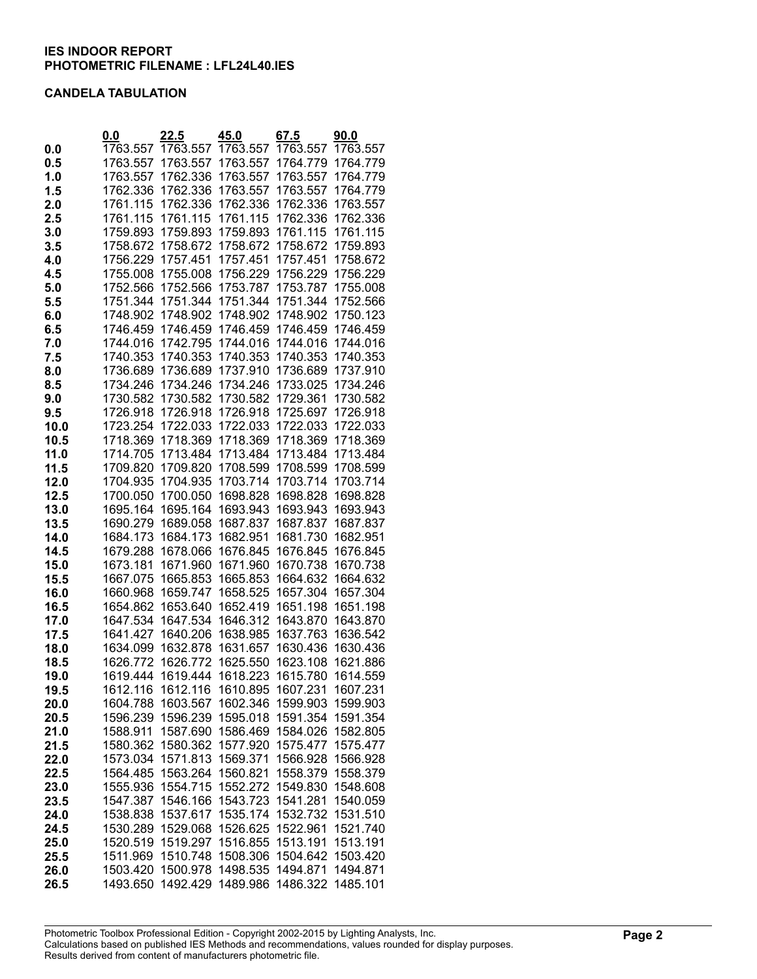#### **CANDELA TABULATION**

|      | 0.0      | 22.5     | 45.0     | 67.5     | <u>90.0</u> |
|------|----------|----------|----------|----------|-------------|
| 0.0  | 1763.557 | 1763.557 | 1763.557 | 1763.557 | 1763.557    |
| 0.5  | 1763.557 | 1763.557 | 1763.557 | 1764.779 | 1764.779    |
| 1.0  | 1763.557 | 1762.336 | 1763.557 | 1763.557 | 1764.779    |
| 1.5  | 1762.336 | 1762.336 | 1763.557 | 1763.557 | 1764.779    |
| 2.0  | 1761.115 | 1762.336 | 1762.336 | 1762.336 | 1763.557    |
| 2.5  | 1761.115 | 1761.115 | 1761.115 | 1762.336 | 1762.336    |
| 3.0  | 1759.893 | 1759.893 | 1759.893 | 1761.115 | 1761.115    |
| 3.5  | 1758.672 | 1758.672 | 1758.672 | 1758.672 | 1759.893    |
| 4.0  | 1756.229 | 1757.451 | 1757.451 | 1757.451 | 1758.672    |
| 4.5  | 1755.008 | 1755.008 | 1756.229 | 1756.229 | 1756.229    |
| 5.0  | 1752.566 | 1752.566 | 1753.787 | 1753.787 | 1755.008    |
| 5.5  | 1751.344 | 1751.344 | 1751.344 | 1751.344 | 1752.566    |
| 6.0  | 1748.902 | 1748.902 | 1748.902 | 1748.902 | 1750.123    |
| 6.5  | 1746.459 | 1746.459 | 1746.459 | 1746.459 | 1746.459    |
| 7.0  | 1744.016 | 1742.795 | 1744.016 | 1744.016 | 1744.016    |
| 7.5  | 1740.353 | 1740.353 | 1740.353 | 1740.353 | 1740.353    |
| 8.0  | 1736.689 | 1736.689 | 1737.910 | 1736.689 | 1737.910    |
| 8.5  | 1734.246 | 1734.246 | 1734.246 | 1733.025 | 1734.246    |
|      |          | 1730.582 | 1730.582 | 1729.361 |             |
| 9.0  | 1730.582 |          |          |          | 1730.582    |
| 9.5  | 1726.918 | 1726.918 | 1726.918 | 1725.697 | 1726.918    |
| 10.0 | 1723.254 | 1722.033 | 1722.033 | 1722.033 | 1722.033    |
| 10.5 | 1718.369 | 1718.369 | 1718.369 | 1718.369 | 1718.369    |
| 11.0 | 1714.705 | 1713.484 | 1713.484 | 1713.484 | 1713.484    |
| 11.5 | 1709.820 | 1709.820 | 1708.599 | 1708.599 | 1708.599    |
| 12.0 | 1704.935 | 1704.935 | 1703.714 | 1703.714 | 1703.714    |
| 12.5 | 1700.050 | 1700.050 | 1698.828 | 1698.828 | 1698.828    |
| 13.0 | 1695.164 | 1695.164 | 1693.943 | 1693.943 | 1693.943    |
| 13.5 | 1690.279 | 1689.058 | 1687.837 | 1687.837 | 1687.837    |
| 14.0 | 1684.173 | 1684.173 | 1682.951 | 1681.730 | 1682.951    |
| 14.5 | 1679.288 | 1678.066 | 1676.845 | 1676.845 | 1676.845    |
| 15.0 | 1673.181 | 1671.960 | 1671.960 | 1670.738 | 1670.738    |
| 15.5 | 1667.075 | 1665.853 | 1665.853 | 1664.632 | 1664.632    |
| 16.0 | 1660.968 | 1659.747 | 1658.525 | 1657.304 | 1657.304    |
| 16.5 | 1654.862 | 1653.640 | 1652.419 | 1651.198 | 1651.198    |
| 17.0 | 1647.534 | 1647.534 | 1646.312 | 1643.870 | 1643.870    |
| 17.5 | 1641.427 | 1640.206 | 1638.985 | 1637.763 | 1636.542    |
| 18.0 | 1634.099 | 1632.878 | 1631.657 | 1630.436 | 1630.436    |
| 18.5 | 1626.772 | 1626.772 | 1625.550 | 1623.108 | 1621.886    |
| 19.0 | 1619.444 | 1619.444 | 1618.223 | 1615.780 | 1614.559    |
| 19.5 | 1612.116 | 1612.116 | 1610.895 | 1607.231 | 1607.231    |
| 20.0 | 1604.788 | 1603.567 | 1602.346 | 1599.903 | 1599.903    |
| 20.5 | 1596.239 | 1596.239 | 1595.018 | 1591.354 | 1591.354    |
| 21.0 | 1588.911 | 1587.690 | 1586.469 | 1584.026 | 1582.805    |
| 21.5 | 1580.362 | 1580.362 | 1577.920 | 1575.477 | 1575.477    |
| 22.0 | 1573.034 | 1571.813 | 1569.371 | 1566.928 | 1566.928    |
| 22.5 | 1564.485 | 1563.264 | 1560.821 | 1558.379 | 1558.379    |
| 23.0 | 1555.936 | 1554.715 | 1552.272 | 1549.830 | 1548.608    |
| 23.5 | 1547.387 | 1546.166 | 1543.723 | 1541.281 | 1540.059    |
| 24.0 | 1538.838 | 1537.617 | 1535.174 | 1532.732 | 1531.510    |
| 24.5 | 1530.289 | 1529.068 | 1526.625 | 1522.961 | 1521.740    |
| 25.0 | 1520.519 | 1519.297 | 1516.855 | 1513.191 | 1513.191    |
| 25.5 | 1511.969 | 1510.748 | 1508.306 | 1504.642 | 1503.420    |
| 26.0 | 1503.420 | 1500.978 | 1498.535 | 1494.871 | 1494.871    |
| 26.5 | 1493.650 | 1492.429 | 1489.986 | 1486.322 | 1485.101    |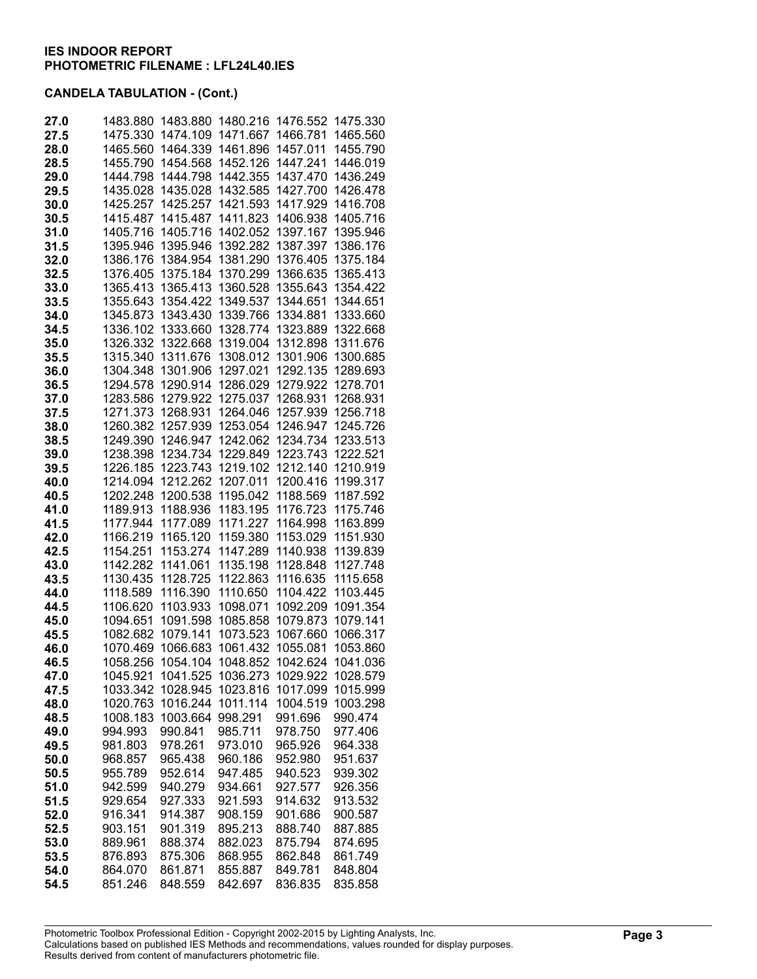| 27.0         | 1483.880             | 1483.880             | 1480.216             | 1476.552             | 1475.330             |
|--------------|----------------------|----------------------|----------------------|----------------------|----------------------|
| 27.5         | 1475.330             | 1474.109             | 1471.667             | 1466.781             | 1465.560             |
| 28.0         | 1465.560             | 1464.339             | 1461.896             | 1457.011             | 1455.790             |
| 28.5         | 1455.790             | 1454.568             | 1452.126             | 1447.241             | 1446.019             |
| 29.0         | 1444.798             | 1444.798             | 1442.355             | 1437.470             | 1436.249             |
| 29.5         | 1435.028             | 1435.028             | 1432.585             | 1427.700             | 1426.478             |
| 30.0         | 1425.257             | 1425.257             | 1421.593             | 1417.929             | 1416.708             |
| 30.5         | 1415.487             | 1415.487             | 1411.823             | 1406.938             | 1405.716             |
| 31.0         | 1405.716             | 1405.716             | 1402.052             | 1397.167             | 1395.946             |
| 31.5         | 1395.946             | 1395.946             | 1392.282             | 1387.397             | 1386.176             |
| 32.0         | 1386.176             | 1384.954             | 1381.290             | 1376.405             | 1375.184             |
| 32.5         | 1376.405             | 1375.184             | 1370.299             | 1366.635             | 1365.413             |
| 33.0         | 1365.413             | 1365.413             | 1360.528             | 1355.643             | 1354.422             |
| 33.5         | 1355.643             | 1354.422             | 1349.537             | 1344.651             | 1344.651             |
| 34.0         | 1345.873             | 1343.430             | 1339.766             | 1334.881             | 1333.660             |
| 34.5         | 1336.102             | 1333.660             | 1328.774             | 1323.889             | 1322.668             |
| 35.0         | 1326.332             | 1322.668             | 1319.004             | 1312.898             | 1311.676             |
| 35.5         | 1315.340             | 1311.676             | 1308.012             | 1301.906             | 1300.685             |
| 36.0         | 1304.348             | 1301.906             | 1297.021             | 1292.135             | 1289.693             |
| 36.5         | 1294.578             | 1290.914             | 1286.029             | 1279.922             | 1278.701             |
| 37.0         | 1283.586             | 1279.922             | 1275.037             | 1268.931             | 1268.931             |
| 37.5         | 1271.373             | 1268.931             | 1264.046             | 1257.939             | 1256.718             |
| 38.0         | 1260.382<br>1249.390 | 1257.939<br>1246.947 | 1253.054<br>1242.062 | 1246.947             | 1245.726<br>1233.513 |
| 38.5         | 1238.398             | 1234.734             | 1229.849             | 1234.734<br>1223.743 | 1222.521             |
| 39.0<br>39.5 | 1226.185             | 1223.743             | 1219.102             | 1212.140             | 1210.919             |
| 40.0         | 1214.094             | 1212.262             | 1207.011             | 1200.416             | 1199.317             |
| 40.5         | 1202.248             | 1200.538             | 1195.042             | 1188.569             | 1187.592             |
| 41.0         | 1189.913             | 1188.936             | 1183.195             | 1176.723             | 1175.746             |
| 41.5         | 1177.944             | 1177.089             | 1171.227             | 1164.998             | 1163.899             |
| 42.0         | 1166.219             | 1165.120             | 1159.380             | 1153.029             | 1151.930             |
| 42.5         | 1154.251             | 1153.274             | 1147.289             | 1140.938             | 1139.839             |
| 43.0         | 1142.282             | 1141.061             | 1135.198             | 1128.848             | 1127.748             |
| 43.5         | 1130.435             | 1128.725             | 1122.863             | 1116.635             | 1115.658             |
| 44.0         | 1118.589             | 1116.390             | 1110.650             | 1104.422             | 1103.445             |
| 44.5         | 1106.620             | 1103.933             | 1098.071             | 1092.209             | 1091.354             |
| 45.0         | 1094.651             | 1091.598             | 1085.858             | 1079.873             | 1079.141             |
| 45.5         | 1082.682             | 1079.141             | 1073.523             | 1067.660             | 1066.317             |
| 46.0         | 1070.469             | 1066.683             | 1061.432             | 1055.081             | 1053.860             |
| 46.5         | 1058.256             | 1054.104             | 1048.852             | 1042.624             | 1041.036             |
| 47.0         | 1045.921             | 1041.525             | 1036.273             | 1029.922             | 1028.579             |
| 47.5         | 1033.342             | 1028.945             | 1023.816             | 1017.099             | 1015.999             |
| 48.0         | 1020.763             | 1016.244             | 1011.114             | 1004.519             | 1003.298             |
| 48.5         | 1008.183             | 1003.664             | 998.291              | 991.696              | 990.474              |
| 49.0         | 994.993              | 990.841              | 985.711              | 978.750              | 977.406              |
| 49.5         | 981.803              | 978.261              | 973.010              | 965.926              | 964.338              |
| 50.0         | 968.857              | 965.438              | 960.186              | 952.980              | 951.637              |
| 50.5         | 955.789<br>942.599   | 952.614<br>940.279   | 947.485<br>934.661   | 940.523<br>927.577   | 939.302<br>926.356   |
| 51.0<br>51.5 | 929.654              | 927.333              | 921.593              | 914.632              | 913.532              |
| 52.0         | 916.341              | 914.387              | 908.159              | 901.686              | 900.587              |
| 52.5         | 903.151              | 901.319              | 895.213              | 888.740              | 887.885              |
| 53.0         | 889.961              | 888.374              | 882.023              | 875.794              | 874.695              |
| 53.5         | 876.893              | 875.306              | 868.955              | 862.848              | 861.749              |
| 54.0         | 864.070              | 861.871              | 855.887              | 849.781              | 848.804              |
| 54.5         | 851.246              | 848.559              | 842.697              | 836.835              | 835.858              |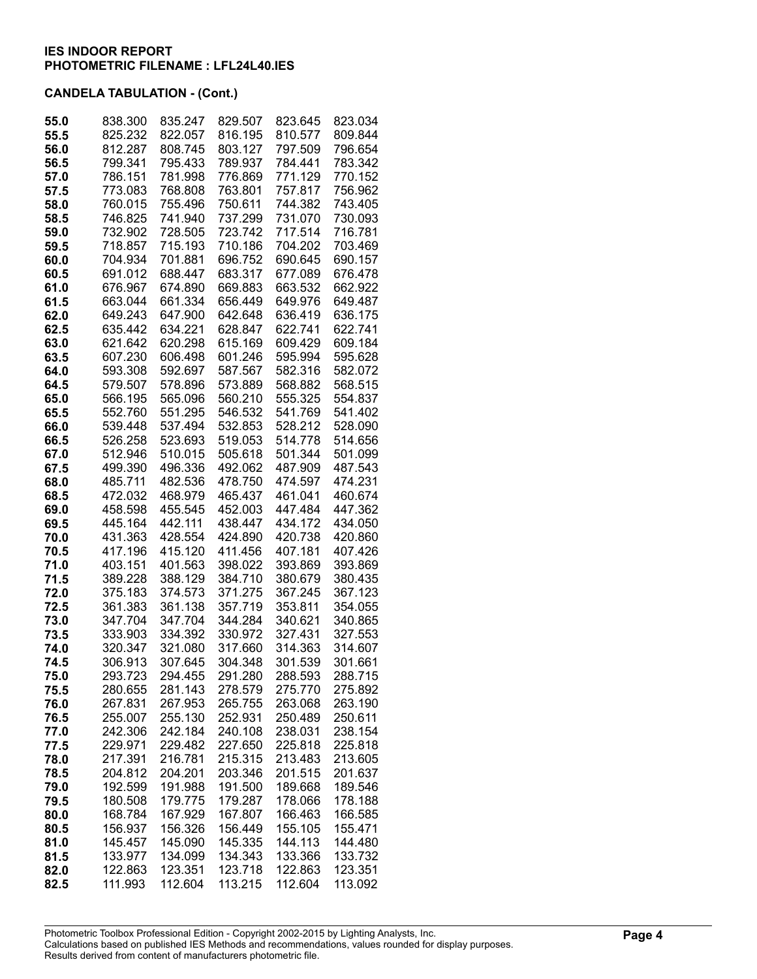| 55.0 | 838.300 | 835.247 | 829.507 | 823.645 | 823.034 |
|------|---------|---------|---------|---------|---------|
| 55.5 | 825.232 | 822.057 | 816.195 | 810.577 | 809.844 |
| 56.0 | 812.287 | 808.745 | 803.127 | 797.509 | 796.654 |
| 56.5 | 799.341 | 795.433 | 789.937 | 784.441 | 783.342 |
| 57.0 | 786.151 | 781.998 | 776.869 | 771.129 | 770.152 |
| 57.5 | 773.083 | 768.808 | 763.801 | 757.817 | 756.962 |
| 58.0 | 760.015 | 755.496 | 750.611 | 744.382 | 743.405 |
| 58.5 | 746.825 | 741.940 | 737.299 | 731.070 | 730.093 |
| 59.0 | 732.902 | 728.505 | 723.742 | 717.514 | 716.781 |
| 59.5 | 718.857 | 715.193 | 710.186 | 704.202 | 703.469 |
| 60.0 | 704.934 | 701.881 | 696.752 | 690.645 | 690.157 |
| 60.5 | 691.012 | 688.447 | 683.317 | 677.089 | 676.478 |
| 61.0 | 676.967 | 674.890 | 669.883 | 663.532 | 662.922 |
| 61.5 | 663.044 | 661.334 | 656.449 | 649.976 | 649.487 |
| 62.0 | 649.243 | 647.900 | 642.648 | 636.419 | 636.175 |
| 62.5 | 635.442 | 634.221 | 628.847 | 622.741 | 622.741 |
| 63.0 | 621.642 | 620.298 | 615.169 | 609.429 | 609.184 |
| 63.5 | 607.230 | 606.498 | 601.246 | 595.994 | 595.628 |
| 64.0 | 593.308 | 592.697 | 587.567 | 582.316 | 582.072 |
| 64.5 | 579.507 | 578.896 | 573.889 | 568.882 | 568.515 |
| 65.0 | 566.195 | 565.096 | 560.210 | 555.325 | 554.837 |
| 65.5 | 552.760 | 551.295 | 546.532 | 541.769 | 541.402 |
| 66.0 | 539.448 | 537.494 | 532.853 | 528.212 | 528.090 |
| 66.5 | 526.258 | 523.693 | 519.053 | 514.778 | 514.656 |
| 67.0 | 512.946 | 510.015 | 505.618 | 501.344 | 501.099 |
| 67.5 | 499.390 | 496.336 | 492.062 | 487.909 | 487.543 |
| 68.0 | 485.711 | 482.536 | 478.750 | 474.597 | 474.231 |
| 68.5 | 472.032 | 468.979 | 465.437 | 461.041 | 460.674 |
| 69.0 | 458.598 | 455.545 | 452.003 | 447.484 | 447.362 |
| 69.5 | 445.164 | 442.111 | 438.447 | 434.172 | 434.050 |
| 70.0 | 431.363 | 428.554 | 424.890 | 420.738 | 420.860 |
| 70.5 | 417.196 | 415.120 | 411.456 | 407.181 | 407.426 |
| 71.0 | 403.151 | 401.563 | 398.022 | 393.869 | 393.869 |
| 71.5 | 389.228 | 388.129 | 384.710 | 380.679 | 380.435 |
| 72.0 | 375.183 | 374.573 | 371.275 | 367.245 | 367.123 |
| 72.5 | 361.383 | 361.138 | 357.719 | 353.811 | 354.055 |
| 73.0 | 347.704 | 347.704 | 344.284 | 340.621 | 340.865 |
| 73.5 | 333.903 | 334.392 | 330.972 | 327.431 | 327.553 |
| 74.0 | 320.347 | 321.080 | 317.660 | 314.363 | 314.607 |
| 74.5 | 306.913 | 307.645 | 304.348 | 301.539 | 301.661 |
| 75.0 | 293.723 | 294.455 | 291.280 | 288.593 | 288.715 |
| 75.5 | 280.655 | 281.143 | 278.579 | 275.770 | 275.892 |
| 76.0 | 267.831 | 267.953 | 265.755 | 263.068 | 263.190 |
| 76.5 | 255.007 | 255.130 | 252.931 | 250.489 | 250.611 |
| 77.0 | 242.306 | 242.184 | 240.108 | 238.031 | 238.154 |
| 77.5 | 229.971 | 229.482 | 227.650 | 225.818 | 225.818 |
| 78.0 | 217.391 | 216.781 | 215.315 | 213.483 | 213.605 |
| 78.5 | 204.812 | 204.201 | 203.346 | 201.515 | 201.637 |
| 79.0 | 192.599 | 191.988 | 191.500 | 189.668 | 189.546 |
| 79.5 | 180.508 | 179.775 | 179.287 | 178.066 | 178.188 |
| 80.0 | 168.784 | 167.929 | 167.807 | 166.463 | 166.585 |
| 80.5 | 156.937 | 156.326 | 156.449 | 155.105 | 155.471 |
| 81.0 | 145.457 | 145.090 | 145.335 | 144.113 | 144.480 |
| 81.5 | 133.977 | 134.099 | 134.343 | 133.366 | 133.732 |
| 82.0 | 122.863 | 123.351 | 123.718 | 122.863 | 123.351 |
| 82.5 | 111.993 | 112.604 | 113.215 | 112.604 | 113.092 |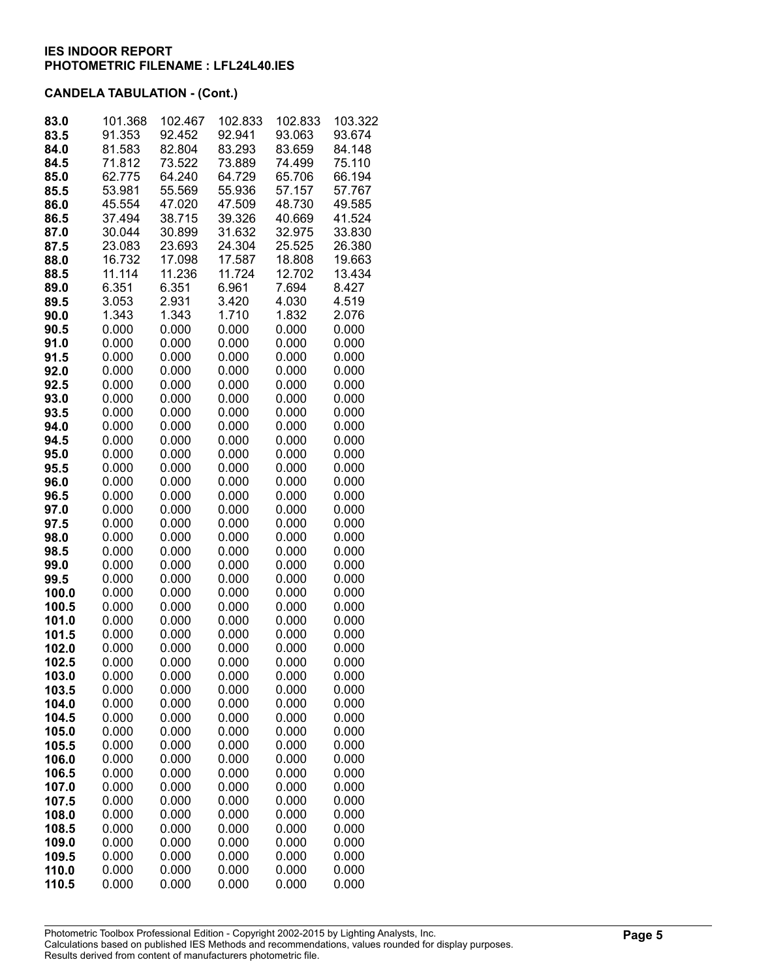| 83.0           | 101.368          | 102.467          | 102.833          | 102.833          | 103.322          |
|----------------|------------------|------------------|------------------|------------------|------------------|
| 83.5<br>84.0   | 91.353<br>81.583 | 92.452<br>82.804 | 92.941<br>83.293 | 93.063<br>83.659 | 93.674<br>84.148 |
| 84.5           | 71.812           | 73.522           | 73.889           | 74.499           | 75.110           |
| 85.0           | 62.775           | 64.240           | 64.729           | 65.706           | 66.194           |
| 85.5           | 53.981           | 55.569           | 55.936           | 57.157           | 57.767           |
| 86.0           | 45.554           | 47.020           | 47.509           | 48.730           | 49.585           |
| 86.5           | 37.494           | 38.715           | 39.326           | 40.669           | 41.524           |
| 87.0           | 30.044           | 30.899           | 31.632           | 32.975           | 33.830           |
| 87.5           | 23.083           | 23.693           | 24.304           | 25.525           | 26.380           |
| 88.0           | 16.732           | 17.098           | 17.587           | 18.808           | 19.663           |
| 88.5           | 11.114           | 11.236           | 11.724           | 12.702           | 13.434           |
| 89.0           | 6.351            | 6.351            | 6.961            | 7.694            | 8.427            |
| 89.5           | 3.053            | 2.931            | 3.420            | 4.030            | 4.519            |
| 90.0           | 1.343            | 1.343            | 1.710            | 1.832            | 2.076            |
| 90.5           | 0.000            | 0.000            | 0.000            | 0.000            | 0.000            |
| 91.0           | 0.000            | 0.000            | 0.000            | 0.000            | 0.000            |
| 91.5           | 0.000            | 0.000            | 0.000            | 0.000            | 0.000            |
| 92.0           | 0.000            | 0.000            | 0.000            | 0.000            | 0.000            |
| 92.5           | 0.000            | 0.000            | 0.000            | 0.000            | 0.000            |
| 93.0           | 0.000            | 0.000            | 0.000            | 0.000            | 0.000            |
| 93.5           | 0.000            | 0.000            | 0.000            | 0.000            | 0.000            |
| 94.0           | 0.000            | 0.000            | 0.000            | 0.000            | 0.000            |
| 94.5           | 0.000            | 0.000            | 0.000            | 0.000            | 0.000            |
| 95.0           | 0.000            | 0.000            | 0.000            | 0.000            | 0.000            |
| 95.5           | 0.000            | 0.000            | 0.000            | 0.000            | 0.000            |
| 96.0<br>96.5   | 0.000<br>0.000   | 0.000<br>0.000   | 0.000<br>0.000   | 0.000<br>0.000   | 0.000<br>0.000   |
| 97.0           | 0.000            | 0.000            | 0.000            | 0.000            | 0.000            |
| 97.5           | 0.000            | 0.000            | 0.000            | 0.000            | 0.000            |
| 98.0           | 0.000            | 0.000            | 0.000            | 0.000            | 0.000            |
| 98.5           | 0.000            | 0.000            | 0.000            | 0.000            | 0.000            |
| 99.0           | 0.000            | 0.000            | 0.000            | 0.000            | 0.000            |
| 99.5           | 0.000            | 0.000            | 0.000            | 0.000            | 0.000            |
| 100.0          | 0.000            | 0.000            | 0.000            | 0.000            | 0.000            |
| 100.5          | 0.000            | 0.000            | 0.000            | 0.000            | 0.000            |
| 101.0          | 0.000            | 0.000            | 0.000            | 0.000            | 0.000            |
| 101.5          | 0.000            | 0.000            | 0.000            | 0.000            | 0.000            |
| 102.0          | 0.000            | 0.000            | 0.000            | 0.000            | 0.000            |
| 102.5          | 0.000            | 0.000            | 0.000            | 0.000            | 0.000            |
| 103.0          | 0.000            | 0.000            | 0.000            | 0.000            | 0.000            |
| 103.5          | 0.000            | 0.000            | 0.000            | 0.000            | 0.000            |
| 104.0          | 0.000            | 0.000            | 0.000            | 0.000<br>0.000   | 0.000<br>0.000   |
| 104.5<br>105.0 | 0.000<br>0.000   | 0.000<br>0.000   | 0.000<br>0.000   | 0.000            | 0.000            |
| 105.5          | 0.000            | 0.000            | 0.000            | 0.000            | 0.000            |
| 106.0          | 0.000            | 0.000            | 0.000            | 0.000            | 0.000            |
| 106.5          | 0.000            | 0.000            | 0.000            | 0.000            | 0.000            |
| 107.0          | 0.000            | 0.000            | 0.000            | 0.000            | 0.000            |
| 107.5          | 0.000            | 0.000            | 0.000            | 0.000            | 0.000            |
| 108.0          | 0.000            | 0.000            | 0.000            | 0.000            | 0.000            |
| 108.5          | 0.000            | 0.000            | 0.000            | 0.000            | 0.000            |
| 109.0          | 0.000            | 0.000            | 0.000            | 0.000            | 0.000            |
| 109.5          | 0.000            | 0.000            | 0.000            | 0.000            | 0.000            |
| 110.0          | 0.000            | 0.000            | 0.000            | 0.000            | 0.000            |
| 110.5          | 0.000            | 0.000            | 0.000            | 0.000            | 0.000            |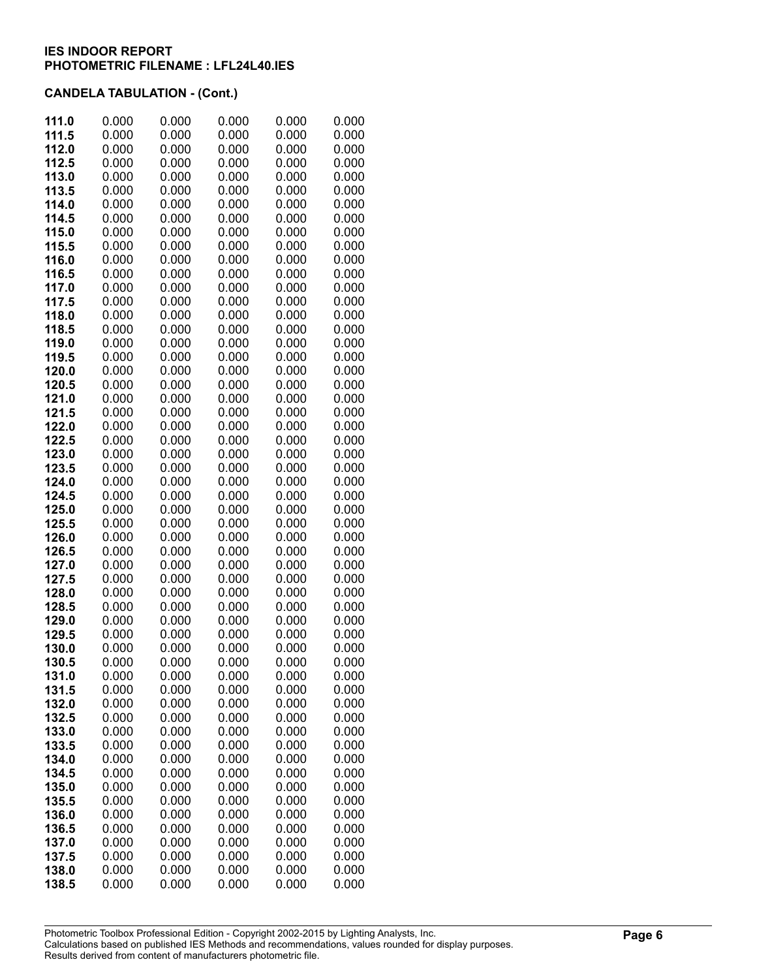| 111.5<br>0.000<br>0.000<br>0.000<br>0.000<br>0.000<br>112.0<br>0.000<br>0.000<br>0.000<br>0.000<br>0.000<br>112.5<br>0.000<br>0.000<br>0.000<br>0.000<br>0.000<br>113.0<br>0.000<br>0.000<br>0.000<br>0.000<br>0.000<br>0.000<br>113.5<br>0.000<br>0.000<br>0.000<br>0.000<br>114.0<br>0.000<br>0.000<br>0.000<br>0.000<br>0.000<br>114.5<br>0.000<br>0.000<br>0.000<br>0.000<br>0.000<br>0.000<br>0.000<br>115.0<br>0.000<br>0.000<br>0.000<br>115.5<br>0.000<br>0.000<br>0.000<br>0.000<br>0.000<br>0.000<br>0.000<br>0.000<br>0.000<br>116.0<br>0.000<br>116.5<br>0.000<br>0.000<br>0.000<br>0.000<br>0.000<br>0.000<br>0.000<br>0.000<br>0.000<br>0.000<br>117.0<br>0.000<br>0.000<br>0.000<br>0.000<br>0.000<br>117.5<br>118.0<br>0.000<br>0.000<br>0.000<br>0.000<br>0.000<br>118.5<br>0.000<br>0.000<br>0.000<br>0.000<br>0.000<br>119.0<br>0.000<br>0.000<br>0.000<br>0.000<br>0.000<br>119.5<br>0.000<br>0.000<br>0.000<br>0.000<br>0.000<br>120.0<br>0.000<br>0.000<br>0.000<br>0.000<br>0.000<br>120.5<br>0.000<br>0.000<br>0.000<br>0.000<br>0.000<br>121.0<br>0.000<br>0.000<br>0.000<br>0.000<br>0.000<br>121.5<br>0.000<br>0.000<br>0.000<br>0.000<br>0.000<br>122.0<br>0.000<br>0.000<br>0.000<br>0.000<br>0.000<br>0.000<br>0.000<br>122.5<br>0.000<br>0.000<br>0.000<br>0.000<br>123.0<br>0.000<br>0.000<br>0.000<br>0.000<br>123.5<br>0.000<br>0.000<br>0.000<br>0.000<br>0.000<br>0.000<br>124.0<br>0.000<br>0.000<br>0.000<br>0.000<br>124.5<br>0.000<br>0.000<br>0.000<br>0.000<br>0.000<br>125.0<br>0.000<br>0.000<br>0.000<br>0.000<br>0.000<br>125.5<br>0.000<br>0.000<br>0.000<br>0.000<br>0.000<br>126.0<br>0.000<br>0.000<br>0.000<br>0.000<br>0.000<br>0.000<br>0.000<br>0.000<br>126.5<br>0.000<br>0.000<br>127.0<br>0.000<br>0.000<br>0.000<br>0.000<br>0.000<br>0.000<br>0.000<br>0.000<br>0.000<br>127.5<br>0.000<br>0.000<br>0.000<br>0.000<br>0.000<br>0.000<br>128.0<br>0.000<br>0.000<br>0.000<br>0.000<br>0.000<br>128.5<br>0.000<br>0.000<br>0.000<br>0.000<br>0.000<br>129.0<br>0.000<br>129.5<br>0.000<br>0.000<br>0.000<br>0.000<br>0.000<br>0.000<br>0.000<br>0.000<br>0.000<br>130.0<br>0.000<br>0.000<br>0.000<br>0.000<br>0.000<br>130.5<br>131.0<br>0.000<br>0.000<br>0.000<br>0.000<br>0.000<br>131.5<br>0.000<br>0.000<br>0.000<br>0.000<br>0.000<br>132.0<br>0.000<br>0.000<br>0.000<br>0.000<br>0.000<br>132.5<br>0.000<br>0.000<br>0.000<br>0.000<br>0.000<br>0.000<br>0.000<br>0.000<br>0.000<br>133.0<br>0.000<br>0.000<br>0.000<br>133.5<br>0.000<br>0.000<br>0.000<br>0.000<br>0.000<br>0.000<br>0.000<br>0.000<br>134.0<br>0.000<br>0.000<br>0.000<br>0.000<br>0.000<br>134.5<br>0.000<br>0.000<br>0.000<br>0.000<br>0.000<br>135.0<br>0.000<br>0.000<br>0.000<br>0.000<br>0.000<br>135.5<br>0.000<br>0.000<br>0.000<br>0.000<br>0.000<br>136.0<br>0.000<br>0.000<br>0.000<br>0.000<br>0.000<br>136.5<br>0.000<br>0.000<br>0.000<br>0.000<br>137.0<br>0.000<br>0.000<br>0.000<br>0.000<br>137.5<br>0.000<br>0.000<br>138.0<br>0.000<br>0.000<br>0.000<br>0.000<br>0.000<br>138.5<br>0.000<br>0.000<br>0.000<br>0.000<br>0.000 | 111.0 | 0.000 | 0.000 | 0.000 | 0.000 | 0.000 |
|----------------------------------------------------------------------------------------------------------------------------------------------------------------------------------------------------------------------------------------------------------------------------------------------------------------------------------------------------------------------------------------------------------------------------------------------------------------------------------------------------------------------------------------------------------------------------------------------------------------------------------------------------------------------------------------------------------------------------------------------------------------------------------------------------------------------------------------------------------------------------------------------------------------------------------------------------------------------------------------------------------------------------------------------------------------------------------------------------------------------------------------------------------------------------------------------------------------------------------------------------------------------------------------------------------------------------------------------------------------------------------------------------------------------------------------------------------------------------------------------------------------------------------------------------------------------------------------------------------------------------------------------------------------------------------------------------------------------------------------------------------------------------------------------------------------------------------------------------------------------------------------------------------------------------------------------------------------------------------------------------------------------------------------------------------------------------------------------------------------------------------------------------------------------------------------------------------------------------------------------------------------------------------------------------------------------------------------------------------------------------------------------------------------------------------------------------------------------------------------------------------------------------------------------------------------------------------------------------------------------------------------------------------------------------------------------------------------------------------------------------------------------------------------------------------------------------------------------------------------------------------------------------------------------------------------------------------------------------------------------------------------------------------------------------------------------------------------|-------|-------|-------|-------|-------|-------|
|                                                                                                                                                                                                                                                                                                                                                                                                                                                                                                                                                                                                                                                                                                                                                                                                                                                                                                                                                                                                                                                                                                                                                                                                                                                                                                                                                                                                                                                                                                                                                                                                                                                                                                                                                                                                                                                                                                                                                                                                                                                                                                                                                                                                                                                                                                                                                                                                                                                                                                                                                                                                                                                                                                                                                                                                                                                                                                                                                                                                                                                                                        |       |       |       |       |       |       |
|                                                                                                                                                                                                                                                                                                                                                                                                                                                                                                                                                                                                                                                                                                                                                                                                                                                                                                                                                                                                                                                                                                                                                                                                                                                                                                                                                                                                                                                                                                                                                                                                                                                                                                                                                                                                                                                                                                                                                                                                                                                                                                                                                                                                                                                                                                                                                                                                                                                                                                                                                                                                                                                                                                                                                                                                                                                                                                                                                                                                                                                                                        |       |       |       |       |       |       |
|                                                                                                                                                                                                                                                                                                                                                                                                                                                                                                                                                                                                                                                                                                                                                                                                                                                                                                                                                                                                                                                                                                                                                                                                                                                                                                                                                                                                                                                                                                                                                                                                                                                                                                                                                                                                                                                                                                                                                                                                                                                                                                                                                                                                                                                                                                                                                                                                                                                                                                                                                                                                                                                                                                                                                                                                                                                                                                                                                                                                                                                                                        |       |       |       |       |       |       |
|                                                                                                                                                                                                                                                                                                                                                                                                                                                                                                                                                                                                                                                                                                                                                                                                                                                                                                                                                                                                                                                                                                                                                                                                                                                                                                                                                                                                                                                                                                                                                                                                                                                                                                                                                                                                                                                                                                                                                                                                                                                                                                                                                                                                                                                                                                                                                                                                                                                                                                                                                                                                                                                                                                                                                                                                                                                                                                                                                                                                                                                                                        |       |       |       |       |       |       |
|                                                                                                                                                                                                                                                                                                                                                                                                                                                                                                                                                                                                                                                                                                                                                                                                                                                                                                                                                                                                                                                                                                                                                                                                                                                                                                                                                                                                                                                                                                                                                                                                                                                                                                                                                                                                                                                                                                                                                                                                                                                                                                                                                                                                                                                                                                                                                                                                                                                                                                                                                                                                                                                                                                                                                                                                                                                                                                                                                                                                                                                                                        |       |       |       |       |       |       |
|                                                                                                                                                                                                                                                                                                                                                                                                                                                                                                                                                                                                                                                                                                                                                                                                                                                                                                                                                                                                                                                                                                                                                                                                                                                                                                                                                                                                                                                                                                                                                                                                                                                                                                                                                                                                                                                                                                                                                                                                                                                                                                                                                                                                                                                                                                                                                                                                                                                                                                                                                                                                                                                                                                                                                                                                                                                                                                                                                                                                                                                                                        |       |       |       |       |       |       |
|                                                                                                                                                                                                                                                                                                                                                                                                                                                                                                                                                                                                                                                                                                                                                                                                                                                                                                                                                                                                                                                                                                                                                                                                                                                                                                                                                                                                                                                                                                                                                                                                                                                                                                                                                                                                                                                                                                                                                                                                                                                                                                                                                                                                                                                                                                                                                                                                                                                                                                                                                                                                                                                                                                                                                                                                                                                                                                                                                                                                                                                                                        |       |       |       |       |       |       |
|                                                                                                                                                                                                                                                                                                                                                                                                                                                                                                                                                                                                                                                                                                                                                                                                                                                                                                                                                                                                                                                                                                                                                                                                                                                                                                                                                                                                                                                                                                                                                                                                                                                                                                                                                                                                                                                                                                                                                                                                                                                                                                                                                                                                                                                                                                                                                                                                                                                                                                                                                                                                                                                                                                                                                                                                                                                                                                                                                                                                                                                                                        |       |       |       |       |       |       |
|                                                                                                                                                                                                                                                                                                                                                                                                                                                                                                                                                                                                                                                                                                                                                                                                                                                                                                                                                                                                                                                                                                                                                                                                                                                                                                                                                                                                                                                                                                                                                                                                                                                                                                                                                                                                                                                                                                                                                                                                                                                                                                                                                                                                                                                                                                                                                                                                                                                                                                                                                                                                                                                                                                                                                                                                                                                                                                                                                                                                                                                                                        |       |       |       |       |       |       |
|                                                                                                                                                                                                                                                                                                                                                                                                                                                                                                                                                                                                                                                                                                                                                                                                                                                                                                                                                                                                                                                                                                                                                                                                                                                                                                                                                                                                                                                                                                                                                                                                                                                                                                                                                                                                                                                                                                                                                                                                                                                                                                                                                                                                                                                                                                                                                                                                                                                                                                                                                                                                                                                                                                                                                                                                                                                                                                                                                                                                                                                                                        |       |       |       |       |       |       |
|                                                                                                                                                                                                                                                                                                                                                                                                                                                                                                                                                                                                                                                                                                                                                                                                                                                                                                                                                                                                                                                                                                                                                                                                                                                                                                                                                                                                                                                                                                                                                                                                                                                                                                                                                                                                                                                                                                                                                                                                                                                                                                                                                                                                                                                                                                                                                                                                                                                                                                                                                                                                                                                                                                                                                                                                                                                                                                                                                                                                                                                                                        |       |       |       |       |       |       |
|                                                                                                                                                                                                                                                                                                                                                                                                                                                                                                                                                                                                                                                                                                                                                                                                                                                                                                                                                                                                                                                                                                                                                                                                                                                                                                                                                                                                                                                                                                                                                                                                                                                                                                                                                                                                                                                                                                                                                                                                                                                                                                                                                                                                                                                                                                                                                                                                                                                                                                                                                                                                                                                                                                                                                                                                                                                                                                                                                                                                                                                                                        |       |       |       |       |       |       |
|                                                                                                                                                                                                                                                                                                                                                                                                                                                                                                                                                                                                                                                                                                                                                                                                                                                                                                                                                                                                                                                                                                                                                                                                                                                                                                                                                                                                                                                                                                                                                                                                                                                                                                                                                                                                                                                                                                                                                                                                                                                                                                                                                                                                                                                                                                                                                                                                                                                                                                                                                                                                                                                                                                                                                                                                                                                                                                                                                                                                                                                                                        |       |       |       |       |       |       |
|                                                                                                                                                                                                                                                                                                                                                                                                                                                                                                                                                                                                                                                                                                                                                                                                                                                                                                                                                                                                                                                                                                                                                                                                                                                                                                                                                                                                                                                                                                                                                                                                                                                                                                                                                                                                                                                                                                                                                                                                                                                                                                                                                                                                                                                                                                                                                                                                                                                                                                                                                                                                                                                                                                                                                                                                                                                                                                                                                                                                                                                                                        |       |       |       |       |       |       |
|                                                                                                                                                                                                                                                                                                                                                                                                                                                                                                                                                                                                                                                                                                                                                                                                                                                                                                                                                                                                                                                                                                                                                                                                                                                                                                                                                                                                                                                                                                                                                                                                                                                                                                                                                                                                                                                                                                                                                                                                                                                                                                                                                                                                                                                                                                                                                                                                                                                                                                                                                                                                                                                                                                                                                                                                                                                                                                                                                                                                                                                                                        |       |       |       |       |       |       |
|                                                                                                                                                                                                                                                                                                                                                                                                                                                                                                                                                                                                                                                                                                                                                                                                                                                                                                                                                                                                                                                                                                                                                                                                                                                                                                                                                                                                                                                                                                                                                                                                                                                                                                                                                                                                                                                                                                                                                                                                                                                                                                                                                                                                                                                                                                                                                                                                                                                                                                                                                                                                                                                                                                                                                                                                                                                                                                                                                                                                                                                                                        |       |       |       |       |       |       |
|                                                                                                                                                                                                                                                                                                                                                                                                                                                                                                                                                                                                                                                                                                                                                                                                                                                                                                                                                                                                                                                                                                                                                                                                                                                                                                                                                                                                                                                                                                                                                                                                                                                                                                                                                                                                                                                                                                                                                                                                                                                                                                                                                                                                                                                                                                                                                                                                                                                                                                                                                                                                                                                                                                                                                                                                                                                                                                                                                                                                                                                                                        |       |       |       |       |       |       |
|                                                                                                                                                                                                                                                                                                                                                                                                                                                                                                                                                                                                                                                                                                                                                                                                                                                                                                                                                                                                                                                                                                                                                                                                                                                                                                                                                                                                                                                                                                                                                                                                                                                                                                                                                                                                                                                                                                                                                                                                                                                                                                                                                                                                                                                                                                                                                                                                                                                                                                                                                                                                                                                                                                                                                                                                                                                                                                                                                                                                                                                                                        |       |       |       |       |       |       |
|                                                                                                                                                                                                                                                                                                                                                                                                                                                                                                                                                                                                                                                                                                                                                                                                                                                                                                                                                                                                                                                                                                                                                                                                                                                                                                                                                                                                                                                                                                                                                                                                                                                                                                                                                                                                                                                                                                                                                                                                                                                                                                                                                                                                                                                                                                                                                                                                                                                                                                                                                                                                                                                                                                                                                                                                                                                                                                                                                                                                                                                                                        |       |       |       |       |       |       |
|                                                                                                                                                                                                                                                                                                                                                                                                                                                                                                                                                                                                                                                                                                                                                                                                                                                                                                                                                                                                                                                                                                                                                                                                                                                                                                                                                                                                                                                                                                                                                                                                                                                                                                                                                                                                                                                                                                                                                                                                                                                                                                                                                                                                                                                                                                                                                                                                                                                                                                                                                                                                                                                                                                                                                                                                                                                                                                                                                                                                                                                                                        |       |       |       |       |       |       |
|                                                                                                                                                                                                                                                                                                                                                                                                                                                                                                                                                                                                                                                                                                                                                                                                                                                                                                                                                                                                                                                                                                                                                                                                                                                                                                                                                                                                                                                                                                                                                                                                                                                                                                                                                                                                                                                                                                                                                                                                                                                                                                                                                                                                                                                                                                                                                                                                                                                                                                                                                                                                                                                                                                                                                                                                                                                                                                                                                                                                                                                                                        |       |       |       |       |       |       |
|                                                                                                                                                                                                                                                                                                                                                                                                                                                                                                                                                                                                                                                                                                                                                                                                                                                                                                                                                                                                                                                                                                                                                                                                                                                                                                                                                                                                                                                                                                                                                                                                                                                                                                                                                                                                                                                                                                                                                                                                                                                                                                                                                                                                                                                                                                                                                                                                                                                                                                                                                                                                                                                                                                                                                                                                                                                                                                                                                                                                                                                                                        |       |       |       |       |       |       |
|                                                                                                                                                                                                                                                                                                                                                                                                                                                                                                                                                                                                                                                                                                                                                                                                                                                                                                                                                                                                                                                                                                                                                                                                                                                                                                                                                                                                                                                                                                                                                                                                                                                                                                                                                                                                                                                                                                                                                                                                                                                                                                                                                                                                                                                                                                                                                                                                                                                                                                                                                                                                                                                                                                                                                                                                                                                                                                                                                                                                                                                                                        |       |       |       |       |       |       |
|                                                                                                                                                                                                                                                                                                                                                                                                                                                                                                                                                                                                                                                                                                                                                                                                                                                                                                                                                                                                                                                                                                                                                                                                                                                                                                                                                                                                                                                                                                                                                                                                                                                                                                                                                                                                                                                                                                                                                                                                                                                                                                                                                                                                                                                                                                                                                                                                                                                                                                                                                                                                                                                                                                                                                                                                                                                                                                                                                                                                                                                                                        |       |       |       |       |       |       |
|                                                                                                                                                                                                                                                                                                                                                                                                                                                                                                                                                                                                                                                                                                                                                                                                                                                                                                                                                                                                                                                                                                                                                                                                                                                                                                                                                                                                                                                                                                                                                                                                                                                                                                                                                                                                                                                                                                                                                                                                                                                                                                                                                                                                                                                                                                                                                                                                                                                                                                                                                                                                                                                                                                                                                                                                                                                                                                                                                                                                                                                                                        |       |       |       |       |       |       |
|                                                                                                                                                                                                                                                                                                                                                                                                                                                                                                                                                                                                                                                                                                                                                                                                                                                                                                                                                                                                                                                                                                                                                                                                                                                                                                                                                                                                                                                                                                                                                                                                                                                                                                                                                                                                                                                                                                                                                                                                                                                                                                                                                                                                                                                                                                                                                                                                                                                                                                                                                                                                                                                                                                                                                                                                                                                                                                                                                                                                                                                                                        |       |       |       |       |       |       |
|                                                                                                                                                                                                                                                                                                                                                                                                                                                                                                                                                                                                                                                                                                                                                                                                                                                                                                                                                                                                                                                                                                                                                                                                                                                                                                                                                                                                                                                                                                                                                                                                                                                                                                                                                                                                                                                                                                                                                                                                                                                                                                                                                                                                                                                                                                                                                                                                                                                                                                                                                                                                                                                                                                                                                                                                                                                                                                                                                                                                                                                                                        |       |       |       |       |       |       |
|                                                                                                                                                                                                                                                                                                                                                                                                                                                                                                                                                                                                                                                                                                                                                                                                                                                                                                                                                                                                                                                                                                                                                                                                                                                                                                                                                                                                                                                                                                                                                                                                                                                                                                                                                                                                                                                                                                                                                                                                                                                                                                                                                                                                                                                                                                                                                                                                                                                                                                                                                                                                                                                                                                                                                                                                                                                                                                                                                                                                                                                                                        |       |       |       |       |       |       |
|                                                                                                                                                                                                                                                                                                                                                                                                                                                                                                                                                                                                                                                                                                                                                                                                                                                                                                                                                                                                                                                                                                                                                                                                                                                                                                                                                                                                                                                                                                                                                                                                                                                                                                                                                                                                                                                                                                                                                                                                                                                                                                                                                                                                                                                                                                                                                                                                                                                                                                                                                                                                                                                                                                                                                                                                                                                                                                                                                                                                                                                                                        |       |       |       |       |       |       |
|                                                                                                                                                                                                                                                                                                                                                                                                                                                                                                                                                                                                                                                                                                                                                                                                                                                                                                                                                                                                                                                                                                                                                                                                                                                                                                                                                                                                                                                                                                                                                                                                                                                                                                                                                                                                                                                                                                                                                                                                                                                                                                                                                                                                                                                                                                                                                                                                                                                                                                                                                                                                                                                                                                                                                                                                                                                                                                                                                                                                                                                                                        |       |       |       |       |       |       |
|                                                                                                                                                                                                                                                                                                                                                                                                                                                                                                                                                                                                                                                                                                                                                                                                                                                                                                                                                                                                                                                                                                                                                                                                                                                                                                                                                                                                                                                                                                                                                                                                                                                                                                                                                                                                                                                                                                                                                                                                                                                                                                                                                                                                                                                                                                                                                                                                                                                                                                                                                                                                                                                                                                                                                                                                                                                                                                                                                                                                                                                                                        |       |       |       |       |       |       |
|                                                                                                                                                                                                                                                                                                                                                                                                                                                                                                                                                                                                                                                                                                                                                                                                                                                                                                                                                                                                                                                                                                                                                                                                                                                                                                                                                                                                                                                                                                                                                                                                                                                                                                                                                                                                                                                                                                                                                                                                                                                                                                                                                                                                                                                                                                                                                                                                                                                                                                                                                                                                                                                                                                                                                                                                                                                                                                                                                                                                                                                                                        |       |       |       |       |       |       |
|                                                                                                                                                                                                                                                                                                                                                                                                                                                                                                                                                                                                                                                                                                                                                                                                                                                                                                                                                                                                                                                                                                                                                                                                                                                                                                                                                                                                                                                                                                                                                                                                                                                                                                                                                                                                                                                                                                                                                                                                                                                                                                                                                                                                                                                                                                                                                                                                                                                                                                                                                                                                                                                                                                                                                                                                                                                                                                                                                                                                                                                                                        |       |       |       |       |       |       |
|                                                                                                                                                                                                                                                                                                                                                                                                                                                                                                                                                                                                                                                                                                                                                                                                                                                                                                                                                                                                                                                                                                                                                                                                                                                                                                                                                                                                                                                                                                                                                                                                                                                                                                                                                                                                                                                                                                                                                                                                                                                                                                                                                                                                                                                                                                                                                                                                                                                                                                                                                                                                                                                                                                                                                                                                                                                                                                                                                                                                                                                                                        |       |       |       |       |       |       |
|                                                                                                                                                                                                                                                                                                                                                                                                                                                                                                                                                                                                                                                                                                                                                                                                                                                                                                                                                                                                                                                                                                                                                                                                                                                                                                                                                                                                                                                                                                                                                                                                                                                                                                                                                                                                                                                                                                                                                                                                                                                                                                                                                                                                                                                                                                                                                                                                                                                                                                                                                                                                                                                                                                                                                                                                                                                                                                                                                                                                                                                                                        |       |       |       |       |       |       |
|                                                                                                                                                                                                                                                                                                                                                                                                                                                                                                                                                                                                                                                                                                                                                                                                                                                                                                                                                                                                                                                                                                                                                                                                                                                                                                                                                                                                                                                                                                                                                                                                                                                                                                                                                                                                                                                                                                                                                                                                                                                                                                                                                                                                                                                                                                                                                                                                                                                                                                                                                                                                                                                                                                                                                                                                                                                                                                                                                                                                                                                                                        |       |       |       |       |       |       |
|                                                                                                                                                                                                                                                                                                                                                                                                                                                                                                                                                                                                                                                                                                                                                                                                                                                                                                                                                                                                                                                                                                                                                                                                                                                                                                                                                                                                                                                                                                                                                                                                                                                                                                                                                                                                                                                                                                                                                                                                                                                                                                                                                                                                                                                                                                                                                                                                                                                                                                                                                                                                                                                                                                                                                                                                                                                                                                                                                                                                                                                                                        |       |       |       |       |       |       |
|                                                                                                                                                                                                                                                                                                                                                                                                                                                                                                                                                                                                                                                                                                                                                                                                                                                                                                                                                                                                                                                                                                                                                                                                                                                                                                                                                                                                                                                                                                                                                                                                                                                                                                                                                                                                                                                                                                                                                                                                                                                                                                                                                                                                                                                                                                                                                                                                                                                                                                                                                                                                                                                                                                                                                                                                                                                                                                                                                                                                                                                                                        |       |       |       |       |       |       |
|                                                                                                                                                                                                                                                                                                                                                                                                                                                                                                                                                                                                                                                                                                                                                                                                                                                                                                                                                                                                                                                                                                                                                                                                                                                                                                                                                                                                                                                                                                                                                                                                                                                                                                                                                                                                                                                                                                                                                                                                                                                                                                                                                                                                                                                                                                                                                                                                                                                                                                                                                                                                                                                                                                                                                                                                                                                                                                                                                                                                                                                                                        |       |       |       |       |       |       |
|                                                                                                                                                                                                                                                                                                                                                                                                                                                                                                                                                                                                                                                                                                                                                                                                                                                                                                                                                                                                                                                                                                                                                                                                                                                                                                                                                                                                                                                                                                                                                                                                                                                                                                                                                                                                                                                                                                                                                                                                                                                                                                                                                                                                                                                                                                                                                                                                                                                                                                                                                                                                                                                                                                                                                                                                                                                                                                                                                                                                                                                                                        |       |       |       |       |       |       |
|                                                                                                                                                                                                                                                                                                                                                                                                                                                                                                                                                                                                                                                                                                                                                                                                                                                                                                                                                                                                                                                                                                                                                                                                                                                                                                                                                                                                                                                                                                                                                                                                                                                                                                                                                                                                                                                                                                                                                                                                                                                                                                                                                                                                                                                                                                                                                                                                                                                                                                                                                                                                                                                                                                                                                                                                                                                                                                                                                                                                                                                                                        |       |       |       |       |       |       |
|                                                                                                                                                                                                                                                                                                                                                                                                                                                                                                                                                                                                                                                                                                                                                                                                                                                                                                                                                                                                                                                                                                                                                                                                                                                                                                                                                                                                                                                                                                                                                                                                                                                                                                                                                                                                                                                                                                                                                                                                                                                                                                                                                                                                                                                                                                                                                                                                                                                                                                                                                                                                                                                                                                                                                                                                                                                                                                                                                                                                                                                                                        |       |       |       |       |       |       |
|                                                                                                                                                                                                                                                                                                                                                                                                                                                                                                                                                                                                                                                                                                                                                                                                                                                                                                                                                                                                                                                                                                                                                                                                                                                                                                                                                                                                                                                                                                                                                                                                                                                                                                                                                                                                                                                                                                                                                                                                                                                                                                                                                                                                                                                                                                                                                                                                                                                                                                                                                                                                                                                                                                                                                                                                                                                                                                                                                                                                                                                                                        |       |       |       |       |       |       |
|                                                                                                                                                                                                                                                                                                                                                                                                                                                                                                                                                                                                                                                                                                                                                                                                                                                                                                                                                                                                                                                                                                                                                                                                                                                                                                                                                                                                                                                                                                                                                                                                                                                                                                                                                                                                                                                                                                                                                                                                                                                                                                                                                                                                                                                                                                                                                                                                                                                                                                                                                                                                                                                                                                                                                                                                                                                                                                                                                                                                                                                                                        |       |       |       |       |       |       |
|                                                                                                                                                                                                                                                                                                                                                                                                                                                                                                                                                                                                                                                                                                                                                                                                                                                                                                                                                                                                                                                                                                                                                                                                                                                                                                                                                                                                                                                                                                                                                                                                                                                                                                                                                                                                                                                                                                                                                                                                                                                                                                                                                                                                                                                                                                                                                                                                                                                                                                                                                                                                                                                                                                                                                                                                                                                                                                                                                                                                                                                                                        |       |       |       |       |       |       |
|                                                                                                                                                                                                                                                                                                                                                                                                                                                                                                                                                                                                                                                                                                                                                                                                                                                                                                                                                                                                                                                                                                                                                                                                                                                                                                                                                                                                                                                                                                                                                                                                                                                                                                                                                                                                                                                                                                                                                                                                                                                                                                                                                                                                                                                                                                                                                                                                                                                                                                                                                                                                                                                                                                                                                                                                                                                                                                                                                                                                                                                                                        |       |       |       |       |       |       |
|                                                                                                                                                                                                                                                                                                                                                                                                                                                                                                                                                                                                                                                                                                                                                                                                                                                                                                                                                                                                                                                                                                                                                                                                                                                                                                                                                                                                                                                                                                                                                                                                                                                                                                                                                                                                                                                                                                                                                                                                                                                                                                                                                                                                                                                                                                                                                                                                                                                                                                                                                                                                                                                                                                                                                                                                                                                                                                                                                                                                                                                                                        |       |       |       |       |       |       |
|                                                                                                                                                                                                                                                                                                                                                                                                                                                                                                                                                                                                                                                                                                                                                                                                                                                                                                                                                                                                                                                                                                                                                                                                                                                                                                                                                                                                                                                                                                                                                                                                                                                                                                                                                                                                                                                                                                                                                                                                                                                                                                                                                                                                                                                                                                                                                                                                                                                                                                                                                                                                                                                                                                                                                                                                                                                                                                                                                                                                                                                                                        |       |       |       |       |       |       |
|                                                                                                                                                                                                                                                                                                                                                                                                                                                                                                                                                                                                                                                                                                                                                                                                                                                                                                                                                                                                                                                                                                                                                                                                                                                                                                                                                                                                                                                                                                                                                                                                                                                                                                                                                                                                                                                                                                                                                                                                                                                                                                                                                                                                                                                                                                                                                                                                                                                                                                                                                                                                                                                                                                                                                                                                                                                                                                                                                                                                                                                                                        |       |       |       |       |       |       |
|                                                                                                                                                                                                                                                                                                                                                                                                                                                                                                                                                                                                                                                                                                                                                                                                                                                                                                                                                                                                                                                                                                                                                                                                                                                                                                                                                                                                                                                                                                                                                                                                                                                                                                                                                                                                                                                                                                                                                                                                                                                                                                                                                                                                                                                                                                                                                                                                                                                                                                                                                                                                                                                                                                                                                                                                                                                                                                                                                                                                                                                                                        |       |       |       |       |       |       |
|                                                                                                                                                                                                                                                                                                                                                                                                                                                                                                                                                                                                                                                                                                                                                                                                                                                                                                                                                                                                                                                                                                                                                                                                                                                                                                                                                                                                                                                                                                                                                                                                                                                                                                                                                                                                                                                                                                                                                                                                                                                                                                                                                                                                                                                                                                                                                                                                                                                                                                                                                                                                                                                                                                                                                                                                                                                                                                                                                                                                                                                                                        |       |       |       |       |       |       |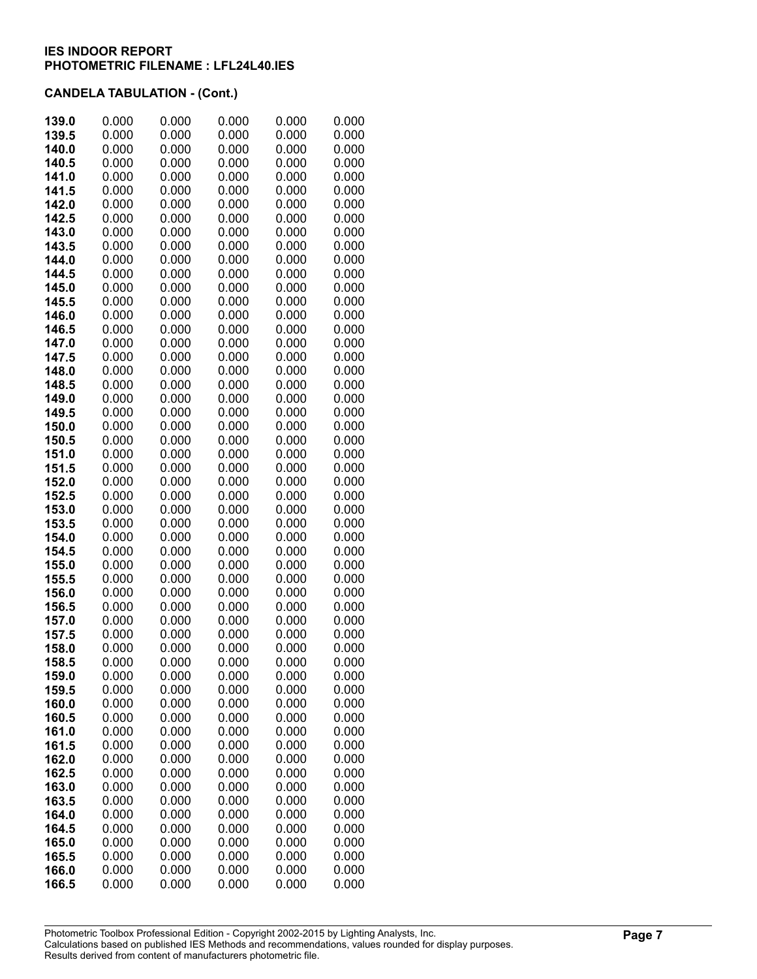| 139.0          | 0.000          | 0.000          | 0.000          | 0.000          | 0.000          |
|----------------|----------------|----------------|----------------|----------------|----------------|
| 139.5          | 0.000          | 0.000          | 0.000          | 0.000          | 0.000          |
| 140.0          | 0.000          | 0.000          | 0.000          | 0.000          | 0.000          |
| 140.5          | 0.000          | 0.000          | 0.000          | 0.000          | 0.000          |
| 141.0          | 0.000          | 0.000          | 0.000          | 0.000          | 0.000          |
| 141.5          | 0.000          | 0.000          | 0.000          | 0.000          | 0.000          |
| 142.0          | 0.000          | 0.000          | 0.000          | 0.000          | 0.000          |
| 142.5          | 0.000          | 0.000          | 0.000          | 0.000          | 0.000          |
| 143.0          | 0.000          | 0.000          | 0.000          | 0.000          | 0.000          |
| 143.5          | 0.000          | 0.000          | 0.000          | 0.000          | 0.000          |
| 144.0          | 0.000          | 0.000          | 0.000          | 0.000          | 0.000          |
| 144.5          | 0.000          | 0.000          | 0.000          | 0.000          | 0.000          |
| 145.0          | 0.000          | 0.000          | 0.000          | 0.000          | 0.000          |
| 145.5          | 0.000          | 0.000          | 0.000          | 0.000          | 0.000          |
| 146.0          | 0.000          | 0.000          | 0.000          | 0.000          | 0.000          |
| 146.5          | 0.000          | 0.000          | 0.000          | 0.000          | 0.000          |
| 147.0          | 0.000          | 0.000          | 0.000          | 0.000          | 0.000          |
| 147.5<br>148.0 | 0.000<br>0.000 | 0.000<br>0.000 | 0.000<br>0.000 | 0.000<br>0.000 | 0.000<br>0.000 |
| 148.5          | 0.000          | 0.000          | 0.000          | 0.000          | 0.000          |
| 149.0          | 0.000          | 0.000          | 0.000          | 0.000          | 0.000          |
| 149.5          | 0.000          | 0.000          | 0.000          | 0.000          | 0.000          |
| 150.0          | 0.000          | 0.000          | 0.000          | 0.000          | 0.000          |
| 150.5          | 0.000          | 0.000          | 0.000          | 0.000          | 0.000          |
| 151.0          | 0.000          | 0.000          | 0.000          | 0.000          | 0.000          |
| 151.5          | 0.000          | 0.000          | 0.000          | 0.000          | 0.000          |
| 152.0          | 0.000          | 0.000          | 0.000          | 0.000          | 0.000          |
| 152.5          | 0.000          | 0.000          | 0.000          | 0.000          | 0.000          |
| 153.0          | 0.000          | 0.000          | 0.000          | 0.000          | 0.000          |
| 153.5          | 0.000          | 0.000          | 0.000          | 0.000          | 0.000          |
| 154.0          | 0.000          | 0.000          | 0.000          | 0.000          | 0.000          |
| 154.5          | 0.000          | 0.000          | 0.000          | 0.000          | 0.000          |
| 155.0          | 0.000          | 0.000          | 0.000          | 0.000          | 0.000          |
| 155.5          | 0.000          | 0.000          | 0.000          | 0.000          | 0.000          |
| 156.0          | 0.000          | 0.000          | 0.000          | 0.000          | 0.000          |
| 156.5          | 0.000          | 0.000          | 0.000          | 0.000          | 0.000          |
| 157.0          | 0.000          | 0.000          | 0.000          | 0.000          | 0.000          |
| 157.5          | 0.000          | 0.000          | 0.000          | 0.000          | 0.000          |
| 158.0          | 0.000<br>0.000 | 0.000<br>0.000 | 0.000<br>0.000 | 0.000<br>0.000 | 0.000          |
| 158.5<br>159.0 | 0.000          | 0.000          | 0.000          | 0.000          | 0.000<br>0.000 |
| 159.5          | 0.000          | 0.000          | 0.000          | 0.000          | 0.000          |
| 160.0          | 0.000          | 0.000          | 0.000          | 0.000          | 0.000          |
| 160.5          | 0.000          | 0.000          | 0.000          | 0.000          | 0.000          |
| 161.0          | 0.000          | 0.000          | 0.000          | 0.000          | 0.000          |
| 161.5          | 0.000          | 0.000          | 0.000          | 0.000          | 0.000          |
| 162.0          | 0.000          | 0.000          | 0.000          | 0.000          | 0.000          |
| 162.5          | 0.000          | 0.000          | 0.000          | 0.000          | 0.000          |
| 163.0          | 0.000          | 0.000          | 0.000          | 0.000          | 0.000          |
| 163.5          | 0.000          | 0.000          | 0.000          | 0.000          | 0.000          |
| 164.0          | 0.000          | 0.000          | 0.000          | 0.000          | 0.000          |
| 164.5          | 0.000          | 0.000          | 0.000          | 0.000          | 0.000          |
| 165.0          | 0.000          | 0.000          | 0.000          | 0.000          | 0.000          |
| 165.5          | 0.000          | 0.000          | 0.000          | 0.000          | 0.000          |
| 166.0          | 0.000          | 0.000          | 0.000          | 0.000          | 0.000          |
| 166.5          | 0.000          | 0.000          | 0.000          | 0.000          | 0.000          |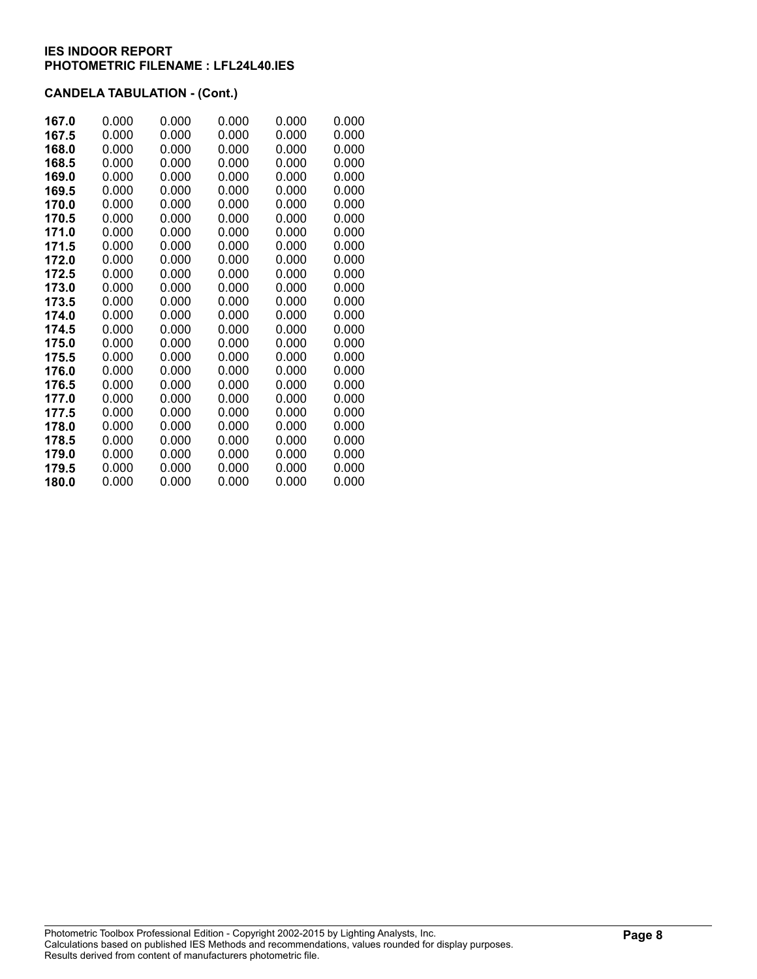| 167.0 | 0.000 | 0.000 | 0.000 | 0.000 | 0.000 |
|-------|-------|-------|-------|-------|-------|
| 167.5 | 0.000 | 0.000 | 0.000 | 0.000 | 0.000 |
| 168.0 | 0.000 | 0.000 | 0.000 | 0.000 | 0.000 |
| 168.5 | 0.000 | 0.000 | 0.000 | 0.000 | 0.000 |
| 169.0 | 0.000 | 0.000 | 0.000 | 0.000 | 0.000 |
| 169.5 | 0.000 | 0.000 | 0.000 | 0.000 | 0.000 |
| 170.0 | 0.000 | 0.000 | 0.000 | 0.000 | 0.000 |
| 170.5 | 0.000 | 0.000 | 0.000 | 0.000 | 0.000 |
| 171.0 | 0.000 | 0.000 | 0.000 | 0.000 | 0.000 |
| 171.5 | 0.000 | 0.000 | 0.000 | 0.000 | 0.000 |
| 172.0 | 0.000 | 0.000 | 0.000 | 0.000 | 0.000 |
| 172.5 | 0.000 | 0.000 | 0.000 | 0.000 | 0.000 |
| 173.0 | 0.000 | 0.000 | 0.000 | 0.000 | 0.000 |
| 173.5 | 0.000 | 0.000 | 0.000 | 0.000 | 0.000 |
| 174.0 | 0.000 | 0.000 | 0.000 | 0.000 | 0.000 |
| 174.5 | 0.000 | 0.000 | 0.000 | 0.000 | 0.000 |
| 175.0 | 0.000 | 0.000 | 0.000 | 0.000 | 0.000 |
| 175.5 | 0.000 | 0.000 | 0.000 | 0.000 | 0.000 |
| 176.0 | 0.000 | 0.000 | 0.000 | 0.000 | 0.000 |
| 176.5 | 0.000 | 0.000 | 0.000 | 0.000 | 0.000 |
| 177.0 | 0.000 | 0.000 | 0.000 | 0.000 | 0.000 |
| 177.5 | 0.000 | 0.000 | 0.000 | 0.000 | 0.000 |
| 178.0 | 0.000 | 0.000 | 0.000 | 0.000 | 0.000 |
| 178.5 | 0.000 | 0.000 | 0.000 | 0.000 | 0.000 |
| 179.0 | 0.000 | 0.000 | 0.000 | 0.000 | 0.000 |
| 179.5 | 0.000 | 0.000 | 0.000 | 0.000 | 0.000 |
| 180.0 | 0.000 | 0.000 | 0.000 | 0.000 | 0.000 |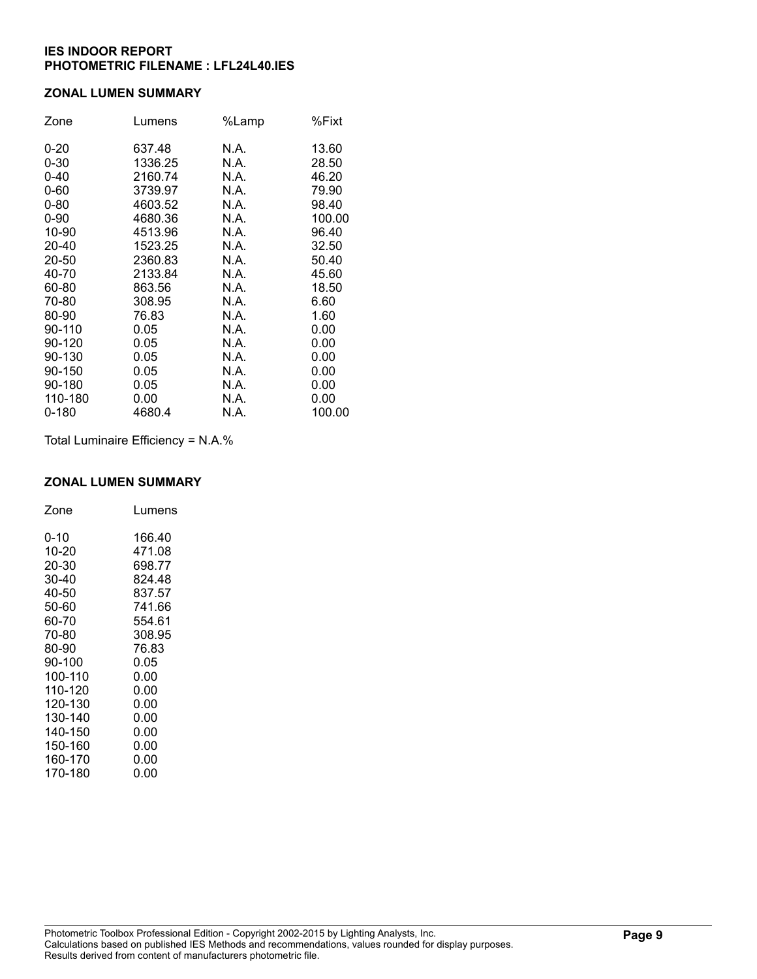### **ZONAL LUMEN SUMMARY**

| Zone      | Lumens  | %Lamp | %Fixt  |
|-----------|---------|-------|--------|
| $0 - 20$  | 637.48  | N.A.  | 13.60  |
| $0 - 30$  | 1336.25 | N.A.  | 28.50  |
| $0 - 40$  | 2160.74 | N.A.  | 46.20  |
| $0 - 60$  | 3739.97 | N.A.  | 79.90  |
| $0 - 80$  | 4603.52 | N.A.  | 98.40  |
| $0 - 90$  | 4680.36 | N.A.  | 100.00 |
| 10-90     | 4513.96 | N.A.  | 96.40  |
| 20-40     | 1523.25 | N.A.  | 32.50  |
| 20-50     | 2360.83 | N.A.  | 50.40  |
| 40-70     | 2133.84 | N.A.  | 45.60  |
| 60-80     | 863.56  | N.A.  | 18.50  |
| 70-80     | 308.95  | N.A.  | 6.60   |
| 80-90     | 76.83   | N.A.  | 1.60   |
| 90-110    | 0.05    | N.A.  | 0.00   |
| 90-120    | 0.05    | N.A.  | 0.00   |
| 90-130    | 0.05    | N.A.  | 0.00   |
| 90-150    | 0.05    | N.A.  | 0.00   |
| 90-180    | 0.05    | N.A.  | 0.00   |
| 110-180   | 0.00    | N.A.  | 0.00   |
| $0 - 180$ | 4680.4  | N.A.  | 100.00 |

Total Luminaire Efficiency = N.A.%

#### **ZONAL LUMEN SUMMARY**

| Zone    | Lumens |
|---------|--------|
| 0-10    | 166.40 |
| 10-20   | 471.08 |
| 20-30   | 698.77 |
| 30-40   | 824.48 |
| 40-50   | 837.57 |
| 50-60   | 741.66 |
| 60-70   | 554.61 |
| 70-80   | 308.95 |
| 80-90   | 76.83  |
| 90-100  | 0.05   |
| 100-110 | 0.00   |
| 110-120 | 0.00   |
| 120-130 | 0.00   |
| 130-140 | 0.00   |
| 140-150 | 0.00   |
| 150-160 | 0.00   |
| 160-170 | 0.00   |
| 170-180 | 0.00   |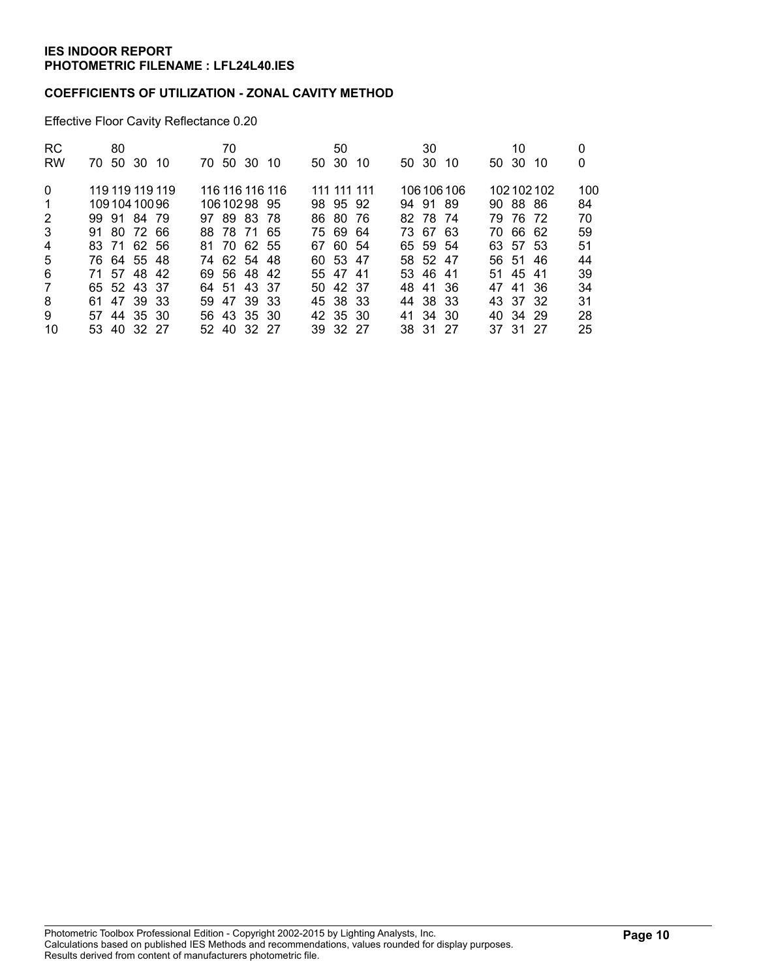### **COEFFICIENTS OF UTILIZATION - ZONAL CAVITY METHOD**

Effective Floor Cavity Reflectance 0.20

| <b>RC</b>      | 80                   | 70                  | 50           | 30          | 10            | 0   |
|----------------|----------------------|---------------------|--------------|-------------|---------------|-----|
| <b>RW</b>      | -50<br>-30 10<br>70. | 50 30<br>70.<br>-10 | 50 30<br>-10 | 50 30<br>10 | 50 30<br>-10  | 0   |
| $\Omega$       | 119 119 119 119      | 116 116 116 116     | 111 111 111  | 106 106 106 | 102102102     | 100 |
| -1             | 10910410096          | 10610298 95         | 98 95 92     | 94 91 89    | 90 88 86      | 84  |
| 2              | 99 91 84 79          | 97 89 83 78         | 86 80 76     | 82 78 74    | 79 76 72      | 70  |
| 3              | 91 80 72 66          | 88 78 71 65         | 75 69 64     | 73 67 63    | 70 66 62      | 59  |
| 4              | 83 71 62 56          | 81 70 62 55         | 67 60 54     | 65 59 54    | 63 57 53      | 51  |
| 5              | 76 64 55 48          | 74 62 54 48         | 60 53 47     | 58 52 47    | 56 51<br>- 46 | 44  |
| 6              | 71 57 48 42          | 69 56 48 42         | 55 47 41     | 53 46 41    | 51 45 41      | 39  |
| $\overline{7}$ | 65 52 43 37          | 64 51 43 37         | 50 42 37     | 48 41 36    | 47 41 36      | 34  |
| 8              | 61 47 39 33          | 47 39 33<br>59.     | 45 38 33     | 44 38 33    | 43 37 32      | 31  |
| 9              | 57 44 35 30          | 56 43 35 30         | 42 35 30     | 41 34 30    | 40 34 29      | 28  |
| 10             | 53 40 32 27          | 52 40 32 27         | 39 32 27     | 38 31 27    | 37 31 27      | 25  |